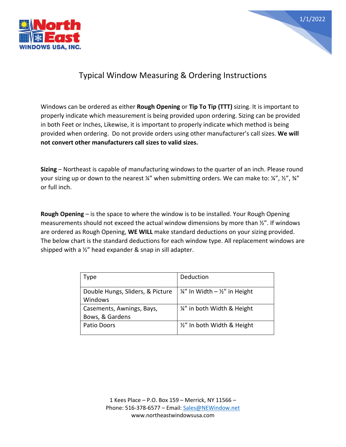



## Typical Window Measuring & Ordering Instructions

Windows can be ordered as either **Rough Opening** or **Tip To Tip (TTT)** sizing. It is important to properly indicate which measurement is being provided upon ordering. Sizing can be provided in both Feet or Inches, Likewise, it is important to properly indicate which method is being provided when ordering. Do not provide orders using other manufacturer's call sizes. **We will not convert other manufacturers call sizes to valid sizes.** 

**Sizing** – Northeast is capable of manufacturing windows to the quarter of an inch. Please round your sizing up or down to the nearest  $\frac{1}{4}$ " when submitting orders. We can make to:  $\frac{1}{4}$ ",  $\frac{1}{2}$ ",  $\frac{3}{4}$ " or full inch.

**Rough Opening** – is the space to where the window is to be installed. Your Rough Opening measurements should not exceed the actual window dimensions by more than ½". If windows are ordered as Rough Opening, **WE WILL** make standard deductions on your sizing provided. The below chart is the standard deductions for each window type. All replacement windows are shipped with a ½" head expander & snap in sill adapter.

| Type                             | Deduction                                            |
|----------------------------------|------------------------------------------------------|
| Double Hungs, Sliders, & Picture | $\frac{1}{4}$ " In Width – $\frac{1}{2}$ " in Height |
| Windows                          |                                                      |
| Casements, Awnings, Bays,        | 1/4" in both Width & Height                          |
| Bows, & Gardens                  |                                                      |
| Patio Doors                      | 1/2" In both Width & Height                          |
|                                  |                                                      |